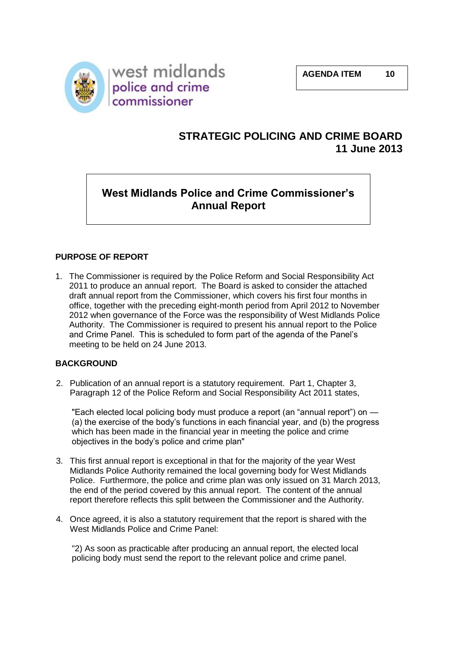

# **STRATEGIC POLICING AND CRIME BOARD 11 June 2013**

# **West Midlands Police and Crime Commissioner's Annual Report**

### **PURPOSE OF REPORT**

1. The Commissioner is required by the Police Reform and Social Responsibility Act 2011 to produce an annual report. The Board is asked to consider the attached draft annual report from the Commissioner, which covers his first four months in office, together with the preceding eight-month period from April 2012 to November 2012 when governance of the Force was the responsibility of West Midlands Police Authority. The Commissioner is required to present his annual report to the Police and Crime Panel. This is scheduled to form part of the agenda of the Panel's meeting to be held on 24 June 2013.

### **BACKGROUND**

2. Publication of an annual report is a statutory requirement. Part 1, Chapter 3, Paragraph 12 of the Police Reform and Social Responsibility Act 2011 states,

"Each elected local policing body must produce a report (an "annual report") on -(a) the exercise of the body's functions in each financial year, and (b) the progress which has been made in the financial year in meeting the police and crime objectives in the body's police and crime plan"

- 3. This first annual report is exceptional in that for the majority of the year West Midlands Police Authority remained the local governing body for West Midlands Police. Furthermore, the police and crime plan was only issued on 31 March 2013, the end of the period covered by this annual report. The content of the annual report therefore reflects this split between the Commissioner and the Authority.
- 4. Once agreed, it is also a statutory requirement that the report is shared with the West Midlands Police and Crime Panel:

"2) As soon as practicable after producing an annual report, the elected local policing body must send the report to the relevant police and crime panel.